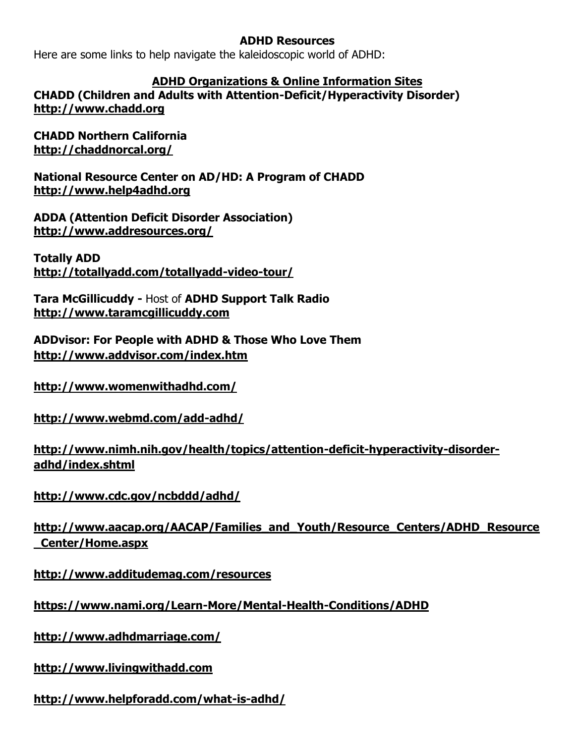## **ADHD Resources**

Here are some links to help navigate the kaleidoscopic world of ADHD:

## **ADHD Organizations & Online Information Sites**

**CHADD (Children and Adults with Attention-Deficit/Hyperactivity Disorder) [http://www.chadd.org](http://www.chadd.org/)**

**CHADD Northern California <http://chaddnorcal.org/>**

**National Resource Center on AD/HD: A Program of CHADD [http://www.help4adhd.org](http://www.help4adhd.org/)**

**ADDA (Attention Deficit Disorder Association) <http://www.addresources.org/>**

**Totally ADD <http://totallyadd.com/totallyadd-video-tour/>**

**Tara McGillicuddy -** Host of **ADHD Support Talk Radio [http://www.taramcgillicuddy.com](http://www.taramcgillicuddy.com/)**

**ADDvisor: For People with ADHD & Those Who Love Them <http://www.addvisor.com/index.htm>**

**<http://www.womenwithadhd.com/>**

**<http://www.webmd.com/add-adhd/>**

**[http://www.nimh.nih.gov/health/topics/attention-deficit-hyperactivity-disorder](http://www.nimh.nih.gov/health/topics/attention-deficit-hyperactivity-disorder-adhd/index.shtml)[adhd/index.shtml](http://www.nimh.nih.gov/health/topics/attention-deficit-hyperactivity-disorder-adhd/index.shtml)**

**<http://www.cdc.gov/ncbddd/adhd/>**

**[http://www.aacap.org/AACAP/Families\\_and\\_Youth/Resource\\_Centers/ADHD\\_Resource](http://www.aacap.org/AACAP/Families_and_Youth/Resource_Centers/ADHD_Resource_Center/Home.aspx) [\\_Center/Home.aspx](http://www.aacap.org/AACAP/Families_and_Youth/Resource_Centers/ADHD_Resource_Center/Home.aspx)**

**<http://www.additudemag.com/resources>**

**<https://www.nami.org/Learn-More/Mental-Health-Conditions/ADHD>**

**<http://www.adhdmarriage.com/>**

**[http://www.livingwithadd.com](http://www.livingwithadd.com/)**

**http://www.helpforadd.com/what-is-adhd/**